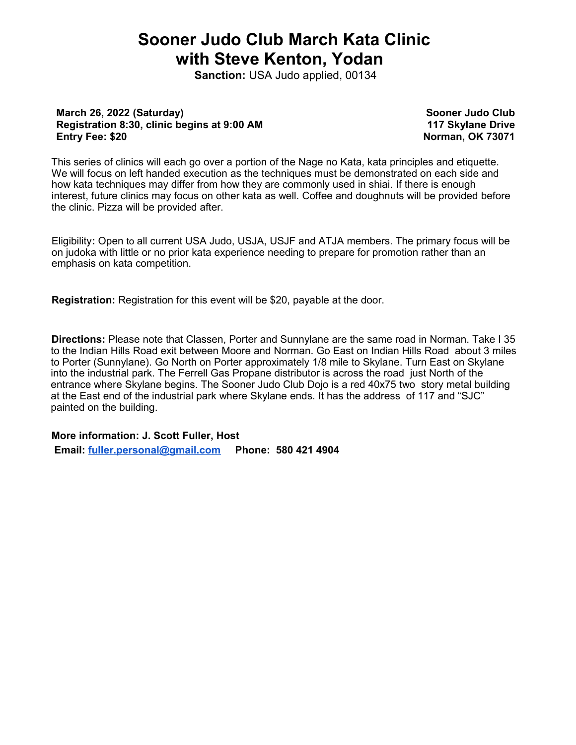## **Sooner Judo Club March Kata Clinic with Steve Kenton, Yodan**

**Sanction:** USA Judo applied, 00134

## **March 26, 2022 (Saturday) Registration 8:30, clinic begins at 9:00 AM Entry Fee: \$20**

**Sooner Judo Club 117 Skylane Drive Norman, OK 73071**

This series of clinics will each go over a portion of the Nage no Kata, kata principles and etiquette. We will focus on left handed execution as the techniques must be demonstrated on each side and how kata techniques may differ from how they are commonly used in shiai. If there is enough interest, future clinics may focus on other kata as well. Coffee and doughnuts will be provided before the clinic. Pizza will be provided after.

Eligibility**:** Open to all current USA Judo, USJA, USJF and ATJA members. The primary focus will be on judoka with little or no prior kata experience needing to prepare for promotion rather than an emphasis on kata competition.

**Registration:** Registration for this event will be \$20, payable at the door.

**Directions:** Please note that Classen, Porter and Sunnylane are the same road in Norman. Take I 35 to the Indian Hills Road exit between Moore and Norman. Go East on Indian Hills Road about 3 miles to Porter (Sunnylane). Go North on Porter approximately 1/8 mile to Skylane. Turn East on Skylane into the industrial park. The Ferrell Gas Propane distributor is across the road just North of the entrance where Skylane begins. The Sooner Judo Club Dojo is a red 40x75 two story metal building at the East end of the industrial park where Skylane ends. It has the address of 117 and "SJC" painted on the building.

## **More information: J. Scott Fuller, Host**

 **Email: [fuller.personal@gmail.com](mailto:fuller.personal@gmail.com) Phone: 580 421 4904**